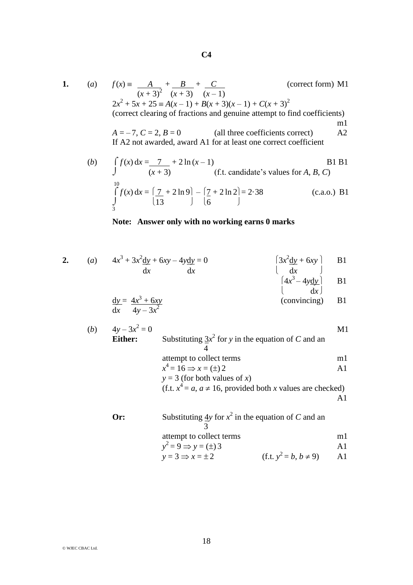$$
C4
$$

$$
1.
$$

1. (a) 
$$
f(x) = \frac{A}{(x+3)^2} + \frac{B}{(x+3)} + \frac{C}{(x-1)}
$$
 (correct form) M1  
\n $2x^2 + 5x + 25 = A(x-1) + B(x+3)(x-1) + C(x+3)^2$   
\n(correct clearing of fractions and genuine attempt to find coefficients)  
\n $A = -7, C = 2, B = 0$  (all three coefficients correct)  
\nIf A2 not awarded, award A1 for at least one correct coefficient

(b) 
$$
\int_{0}^{10} f(x) dx = \frac{7}{(x+3)} + 2 \ln(x-1)
$$
  
\n(c) If t. candidate's values for A, B, C)  
\n $\int_{0}^{10} f(x) dx = \left(\frac{7}{13} + 2 \ln 9\right) - \left(\frac{7}{6} + 2 \ln 2\right) = 2.38$   
\n(d) (c.a.o.) B1

## **Note: Answer only with no working earns 0 marks**

2. (a) 
$$
4x^3 + 3x^2 \frac{dy}{dx} + 6xy - 4y \frac{dy}{dx} = 0
$$
   
  $\begin{cases} 3x^2 \frac{dy}{dx} + 6xy \\ dx \end{cases}$  B1   
  $\begin{cases} 4x^3 - 4y \frac{dy}{dx} \\ dx \end{cases}$  B1

$$
\frac{dy}{dx} = \frac{4x^3 + 6xy}{4y - 3x^2}
$$
 (convincing) B1

(b) 
$$
4y-3x^2 = 0
$$
  
\n**Either:** Substituting  $3x^2$  for y in the equation of C and an  
\n $4$   
\n $x^4 = 16 \Rightarrow x = (\pm)2$   
\n $y = 3$  (for both values of x)  
\n $(f.t. x^4 = a, a \ne 16, provided both x values are checked)$   
\n $A1$ 

| Or: | Substituting 4y for $x^2$ in the equation of C and an |                            |               |
|-----|-------------------------------------------------------|----------------------------|---------------|
|     | attempt to collect terms                              |                            | ml            |
|     | $y^2 = 9 \implies y = (\pm) 3$                        |                            | $\mathbf{A}1$ |
|     | $y = 3 \implies x = \pm 2$                            | (f.t. $y^2 = b, b \ne 9$ ) | A1            |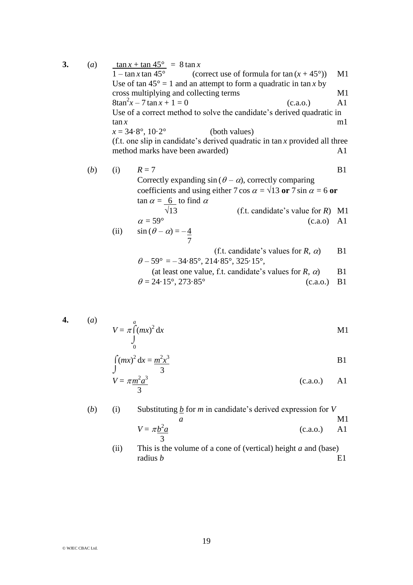**3.** (*a*)  $\frac{\tan x + \tan 45^{\circ}}{1 - \tan x \tan 45^{\circ}} = 8 \tan x$  (cc (correct use of formula for  $\tan (x + 45^{\circ})$ ) M1 Use of tan  $45^\circ = 1$  and an attempt to form a quadratic in tan *x* by cross multiplying and collecting terms M1  $8\tan^2 x - 7 \tan x + 1 = 0$  (c.a.o.) A1 Use of a correct method to solve the candidate's derived quadratic in  $\tan x$  m1  $x = 34.8^\circ, 10.2^\circ$  (both values) (f.t. one slip in candidate's derived quadratic in tan *x* provided all three method marks have been awarded) and  $A1$ (*b*) (i)  $R = 7$  B1 Correctly expanding  $sin (\theta - \alpha)$ , correctly comparing coefficients and using either 7 cos  $\alpha = \sqrt{13}$  or 7 sin  $\alpha = 6$  or  $\tan \alpha = 6$  to find  $\alpha$  $\sqrt{13}$  (f.t. candidate's value for *R*) M1  $\alpha = 59^{\circ}$  (c.a.o) A1 (ii)  $\sin (\theta - \alpha) = -\frac{4}{3}$  7 (f.t. candidate's values for  $R$ ,  $\alpha$ ) B1  $\theta$  – 59° = – 34·85°, 214·85°, 325·15°, (at least one value, f.t. candidate's values for  $R$ ,  $\alpha$ ) B1  $\theta = 24.15^{\circ}, 273.85^{\circ}$  (c.a.o.) B1

$$
4. \qquad (a)
$$

$$
V = \pi \int_{0}^{a} (mx)^2 dx
$$

$$
\int (mx)^2 dx = \frac{m^2x^3}{3}
$$
 B1

$$
V = \pi \frac{m^2 a^3}{3}
$$
 (c.a.o.) A1

(*b*) (i) Substituting *b* for *m* in candidate's derived expression for *V a* M1  $V = \pi b^2$ *a* (c.a.o.) A1 3

> (ii) This is the volume of a cone of (vertical) height *a* and (base) radius  $b$  E1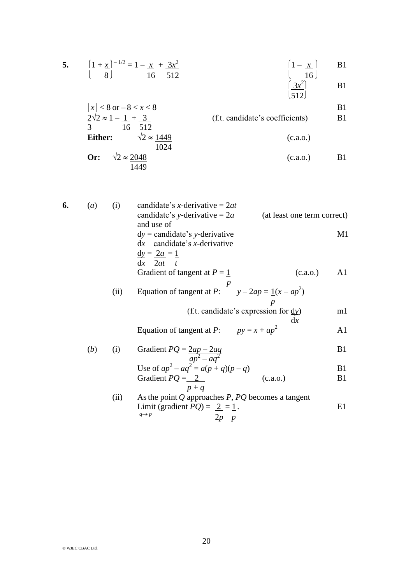5. 
$$
\left(1 + \frac{x}{8}\right)^{-1/2} = 1 - \frac{x}{16} + \frac{3x^2}{512}
$$
  
\n $\left(1 - \frac{x}{16}\right)$   
\n $\left(1 - \frac{x}{16}\right)$   
\n $\left(1 - \frac{x}{16}\right)$   
\n $\left(1 - \frac{x}{16}\right)$   
\n $\left(1 - \frac{x}{16}\right)$   
\nB1  
\n $\left(3x^2\right)$   
\nB1

$$
|x| < 8 \text{ or } -8 < x < 8
$$
  
\n
$$
\frac{2\sqrt{2}}{3} \approx 1 - \frac{1}{16} + \frac{3}{512}
$$
  
\nEither:  $\frac{\sqrt{2}}{1024}$   
\nOr:  $\sqrt{2} \approx \frac{2048}{1449}$   
\n(c.a.o.)  
\nE1  
\n(c.a.o.)  
\nE1

| 6. | (a)          | (i)  | candidate's x-derivative = $2at$                                                    |                |
|----|--------------|------|-------------------------------------------------------------------------------------|----------------|
|    |              |      | candidate's y-derivative = $2a$<br>(at least one term correct)                      |                |
|    |              |      | and use of                                                                          |                |
|    |              |      | $dy =$ candidate's y-derivative                                                     | M1             |
|    |              |      | $dx$ candidate's <i>x</i> -derivative                                               |                |
|    |              |      | $\underline{\mathrm{d}y} = \underline{2a} = \underline{1}$                          |                |
|    |              |      | $dx$ 2 <i>at t</i>                                                                  |                |
|    |              |      | Gradient of tangent at $P = 1$<br>(c.a.o.)                                          | A1             |
|    |              |      |                                                                                     |                |
|    |              | (ii) | Equation of tangent at P: $y - 2ap = \underline{1}(x - ap^2)$                       |                |
|    |              |      |                                                                                     |                |
|    |              |      | (f.t. candidate's expression for $\frac{dy}{dx}$ )                                  | ml             |
|    |              |      | dx                                                                                  |                |
|    |              |      | Equation of tangent at P: $py = x + ap^2$                                           | A1             |
|    |              |      |                                                                                     |                |
|    | ( <i>b</i> ) | (i)  | Gradient $PQ = \frac{2ap - 2aq}{ap^2 - aq^2}$<br>Use of $ap^2 - aq^2 = a(p+q)(p-q)$ | B <sub>1</sub> |
|    |              |      |                                                                                     |                |
|    |              |      |                                                                                     | B <sub>1</sub> |
|    |              |      | Gradient $PQ = 2$<br>(c.a.o.)                                                       | B <sub>1</sub> |
|    |              |      | $p + q$                                                                             |                |
|    |              | (ii) | As the point $Q$ approaches $P$ , $PQ$ becomes a tangent                            |                |
|    |              |      | Limit (gradient $PQ = 2 = 1$ .<br>$q \rightarrow p$                                 | E1             |
|    |              |      | $2p$ $p$                                                                            |                |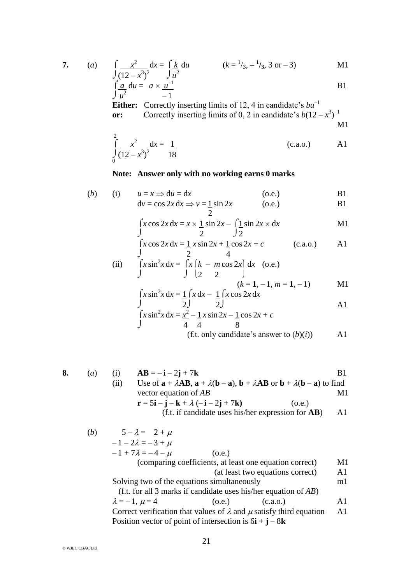$$
7. \qquad
$$

7. (a) 
$$
\int \frac{x^2}{1-x^2} dx = \int \frac{k}{2} du
$$
  $(k = \frac{1}{3}, -\frac{1}{3}, 3 \text{ or } -3)$  M1

$$
\int (12 - x^3)^2 \qquad \int u^2
$$
\n
$$
\int \frac{a}{u^2} du = a \times \frac{u^{-1}}{-1}
$$
\nB1

**Either:** Correctly inserting limits of 12, 4 in candidate's  $bu^{-1}$ or: Correctly inserting limits of 0, 2 in candidate's  $b(12 - x^3)^{-1}$ M1

$$
\int_{0}^{2} \frac{x^2}{(12 - x^3)^2} dx = \frac{1}{18}
$$
 (c.a.o.) A1

## **Note: Answer only with no working earns 0 marks**

(b) (i) 
$$
u = x \Rightarrow du = dx
$$
 (o.e.)  
\t $dv = \cos 2x dx \Rightarrow v = \frac{1}{2} \sin 2x$  (o.e.)  
\t $B1$ 

$$
\int x \cos 2x \, dx = x \times \frac{1}{2} \sin 2x - \int \frac{1}{2} \sin 2x \times dx
$$

$$
\int x \cos 2x \, dx = \frac{1}{2} x \sin 2x + \frac{1}{2} \cos 2x + c \qquad \text{(c.a.o.)} \qquad \text{A1}
$$

(ii) 
$$
\int x \sin^2 x \, dx = \int x \left[ \frac{k}{2} - \frac{m \cos 2x}{2} \right] dx \quad \text{(o.e.)}
$$
  
\n
$$
\int (k = 1, -1, m = 1, -1) \quad \text{M1}
$$
  
\n
$$
\int x \sin^2 x \, dx = \frac{1}{2} \int x \, dx - \frac{1}{2} \int x \cos 2x \, dx
$$
  
\n
$$
\int x \cos 2x \, dx = \frac{1}{2} \int x \cos 2x \, dx
$$

$$
\int x \sin^2 x \, dx = \frac{x^2}{4} - \frac{1}{4} x \sin 2x - \frac{1}{8} \cos 2x + c
$$
  
(f.t. only candidate's answer to (b)(i))

8. (a) (i) 
$$
AB = -\mathbf{i} - 2\mathbf{j} + 7\mathbf{k}
$$
 B1  
\n(ii) Use of  $\mathbf{a} + \lambda AB$ ,  $\mathbf{a} + \lambda(\mathbf{b} - \mathbf{a})$ ,  $\mathbf{b} + \lambda AB$  or  $\mathbf{b} + \lambda(\mathbf{b} - \mathbf{a})$  to find  
\nvector equation of *AB* M1  
\n $\mathbf{r} = 5\mathbf{i} - \mathbf{j} - \mathbf{k} + \lambda(-\mathbf{i} - 2\mathbf{j} + 7\mathbf{k})$  (o.e.)  
\n(f.t. if candidate uses his/her expression for **AB**) A1

(*b*)  $5 - \lambda = 2 + \mu$  $-1 - 2\lambda = -3 + \mu$  $-1 + 7\lambda = -4 - \mu$  (o.e.) (comparing coefficients, at least one equation correct) M1 (at least two equations correct) A1 Solving two of the equations simultaneously m1 (f.t. for all 3 marks if candidate uses his/her equation of *AB*)  $\lambda = -1, \mu = 4$  (o.e.) (c.a.o.) A1 Correct verification that values of  $\lambda$  and  $\mu$  satisfy third equation A1 Position vector of point of intersection is  $6\mathbf{i} + \mathbf{j} - 8\mathbf{k}$